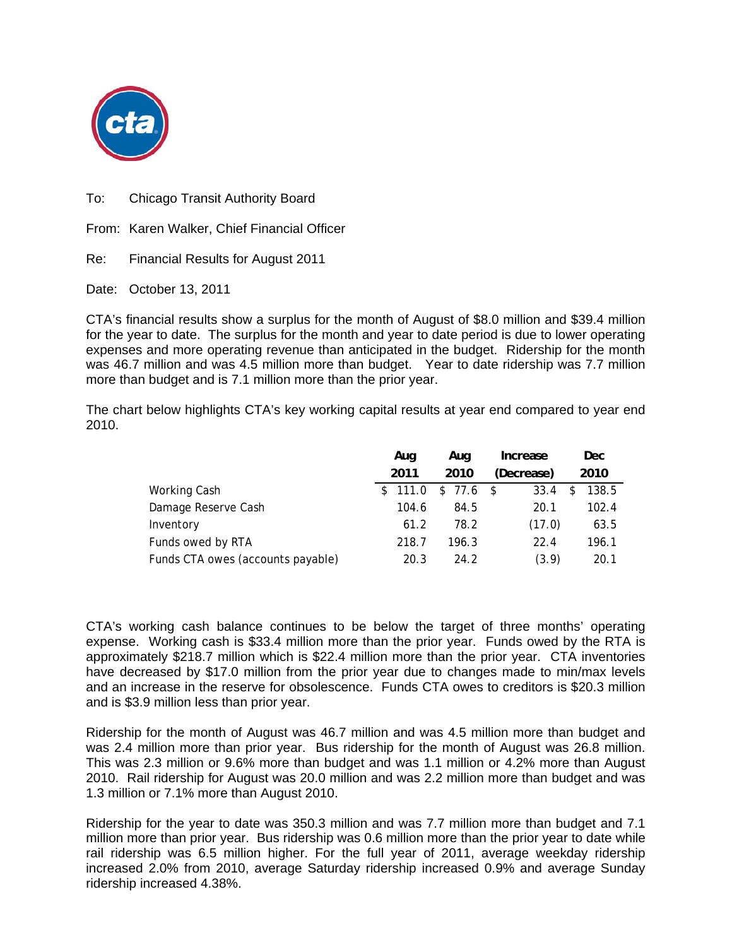

To: Chicago Transit Authority Board

From: Karen Walker, Chief Financial Officer

Re: Financial Results for August 2011

Date: October 13, 2011

CTA's financial results show a surplus for the month of August of \$8.0 million and \$39.4 million for the year to date. The surplus for the month and year to date period is due to lower operating expenses and more operating revenue than anticipated in the budget. Ridership for the month was 46.7 million and was 4.5 million more than budget. Year to date ridership was 7.7 million more than budget and is 7.1 million more than the prior year.

The chart below highlights CTA's key working capital results at year end compared to year end 2010.

|                                   | Aug     | Aug      | Increase   | Dec        |
|-----------------------------------|---------|----------|------------|------------|
|                                   | 2011    | 2010     | (Decrease) | 2010       |
| Working Cash                      | \$111.0 | \$77.6\$ | 33.4       | 138.5<br>S |
| Damage Reserve Cash               | 104.6   | 84.5     | 20.1       | 102.4      |
| Inventory                         | 61.2    | 78.2     | (17.0)     | 63.5       |
| Funds owed by RTA                 | 218.7   | 196.3    | 22.4       | 196.1      |
| Funds CTA owes (accounts payable) | 20.3    | 24.2     | (3.9)      | 20.1       |

CTA's working cash balance continues to be below the target of three months' operating expense. Working cash is \$33.4 million more than the prior year. Funds owed by the RTA is approximately \$218.7 million which is \$22.4 million more than the prior year. CTA inventories have decreased by \$17.0 million from the prior year due to changes made to min/max levels and an increase in the reserve for obsolescence. Funds CTA owes to creditors is \$20.3 million and is \$3.9 million less than prior year.

Ridership for the month of August was 46.7 million and was 4.5 million more than budget and was 2.4 million more than prior year. Bus ridership for the month of August was 26.8 million. This was 2.3 million or 9.6% more than budget and was 1.1 million or 4.2% more than August 2010. Rail ridership for August was 20.0 million and was 2.2 million more than budget and was 1.3 million or 7.1% more than August 2010.

Ridership for the year to date was 350.3 million and was 7.7 million more than budget and 7.1 million more than prior year. Bus ridership was 0.6 million more than the prior year to date while rail ridership was 6.5 million higher. For the full year of 2011, average weekday ridership increased 2.0% from 2010, average Saturday ridership increased 0.9% and average Sunday ridership increased 4.38%.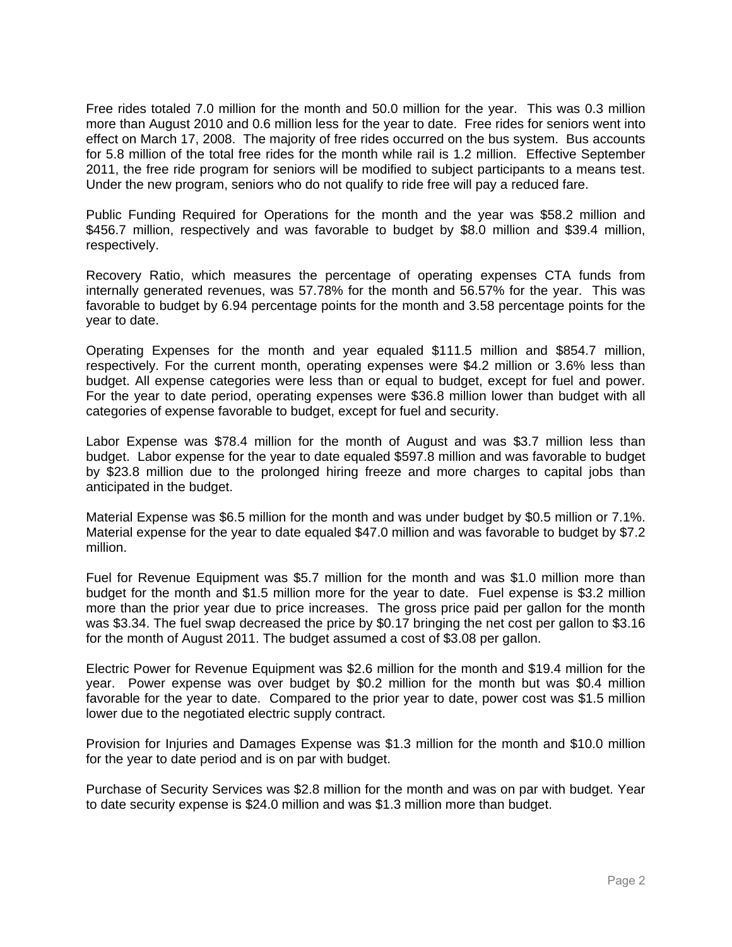Free rides totaled 7.0 million for the month and 50.0 million for the year. This was 0.3 million more than August 2010 and 0.6 million less for the year to date. Free rides for seniors went into effect on March 17, 2008. The majority of free rides occurred on the bus system. Bus accounts for 5.8 million of the total free rides for the month while rail is 1.2 million. Effective September 2011, the free ride program for seniors will be modified to subject participants to a means test. Under the new program, seniors who do not qualify to ride free will pay a reduced fare.

Public Funding Required for Operations for the month and the year was \$58.2 million and \$456.7 million, respectively and was favorable to budget by \$8.0 million and \$39.4 million, respectively.

Recovery Ratio, which measures the percentage of operating expenses CTA funds from internally generated revenues, was 57.78% for the month and 56.57% for the year. This was favorable to budget by 6.94 percentage points for the month and 3.58 percentage points for the year to date.

Operating Expenses for the month and year equaled \$111.5 million and \$854.7 million, respectively. For the current month, operating expenses were \$4.2 million or 3.6% less than budget. All expense categories were less than or equal to budget, except for fuel and power. For the year to date period, operating expenses were \$36.8 million lower than budget with all categories of expense favorable to budget, except for fuel and security.

Labor Expense was \$78.4 million for the month of August and was \$3.7 million less than budget. Labor expense for the year to date equaled \$597.8 million and was favorable to budget by \$23.8 million due to the prolonged hiring freeze and more charges to capital jobs than anticipated in the budget.

Material Expense was \$6.5 million for the month and was under budget by \$0.5 million or 7.1%. Material expense for the year to date equaled \$47.0 million and was favorable to budget by \$7.2 million.

Fuel for Revenue Equipment was \$5.7 million for the month and was \$1.0 million more than budget for the month and \$1.5 million more for the year to date. Fuel expense is \$3.2 million more than the prior year due to price increases. The gross price paid per gallon for the month was \$3.34. The fuel swap decreased the price by \$0.17 bringing the net cost per gallon to \$3.16 for the month of August 2011. The budget assumed a cost of \$3.08 per gallon.

Electric Power for Revenue Equipment was \$2.6 million for the month and \$19.4 million for the year. Power expense was over budget by \$0.2 million for the month but was \$0.4 million favorable for the year to date. Compared to the prior year to date, power cost was \$1.5 million lower due to the negotiated electric supply contract.

Provision for Injuries and Damages Expense was \$1.3 million for the month and \$10.0 million for the year to date period and is on par with budget.

Purchase of Security Services was \$2.8 million for the month and was on par with budget. Year to date security expense is \$24.0 million and was \$1.3 million more than budget.